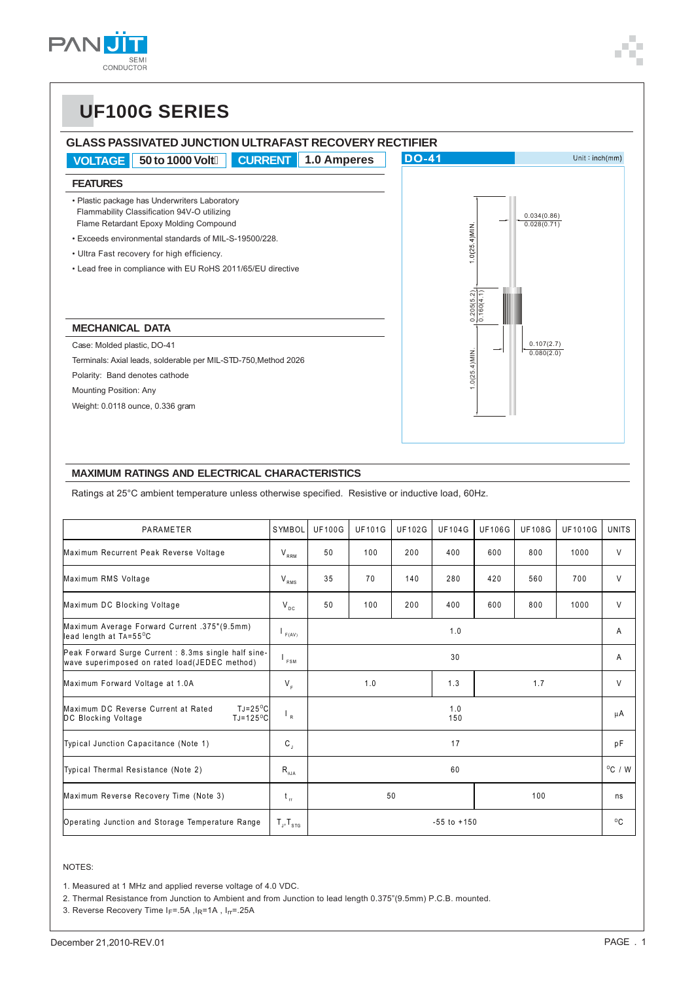

## **UF100G SERIES**

#### **GLASS PASSIVATED JUNCTION ULTRAFAST RECOVERY RECTIFIER**



#### **MAXIMUM RATINGS AND ELECTRICAL CHARACTERISTICS**

Ratings at 25°C ambient temperature unless otherwise specified. Resistive or inductive load, 60Hz.

| PARAMETER                                                                                                     | SYMBOL                     | <b>UF100G</b>   | <b>UF101G</b> | <b>UF102G</b> | <b>UF104G</b> | <b>UF106G</b> | <b>UF108G</b>    | <b>UF1010G</b> | <b>UNITS</b> |
|---------------------------------------------------------------------------------------------------------------|----------------------------|-----------------|---------------|---------------|---------------|---------------|------------------|----------------|--------------|
| Maximum Recurrent Peak Reverse Voltage                                                                        | $V_{RRM}$                  | 50              | 100           | 200           | 400           | 600           | 800              | 1000           | V            |
| Maximum RMS Voltage                                                                                           | $V_{RMS}$                  | 35              | 70            | 140           | 280           | 420           | 560              | 700            | V            |
| Maximum DC Blocking Voltage                                                                                   | $V_{DC}$                   | 50              | 100           | 200           | 400           | 600           | 800              | 1000           | V            |
| Maximum Average Forward Current .375"(9.5mm)<br>lead length at TA=55°C                                        | F(AV)                      | 1.0             |               |               |               |               | A                |                |              |
| Peak Forward Surge Current : 8.3ms single half sine-<br>wave superimposed on rated load(JEDEC method)         | <sup>I</sup> FSM           | 30              |               |               |               |               | A                |                |              |
| Maximum Forward Voltage at 1.0A                                                                               | $V_{\epsilon}$             |                 | 1.0           |               | 1.3           |               | 1.7              |                | V            |
| Maximum DC Reverse Current at Rated<br>$TJ = 25^{\circ}C$<br>$TJ = 125$ <sup>o</sup> C<br>DC Blocking Voltage | $\mathsf{L}_{\mathsf{R}}$  |                 |               |               | 1.0<br>150    |               |                  |                | μA           |
| Typical Junction Capacitance (Note 1)                                                                         | $\mathsf{C}_{\mathsf{J}}$  | 17              |               |               |               |               | рF               |                |              |
| Typical Thermal Resistance (Note 2)                                                                           | $R_{\rm gJA}$              | 60              |               |               |               |               | $^{\circ}$ C / W |                |              |
| Maximum Reverse Recovery Time (Note 3)                                                                        | $t_{\rm r}$                | 50<br>100       |               |               |               | ns            |                  |                |              |
| Operating Junction and Storage Temperature Range                                                              | $T_{J}$ , $T_{\text{str}}$ | $-55$ to $+150$ |               |               |               |               | $^{\circ}$ C     |                |              |

NOTES:

1. Measured at 1 MHz and applied reverse voltage of 4.0 VDC.

2. Thermal Resistance from Junction to Ambient and from Junction to lead length 0.375"(9.5mm) P.C.B. mounted.

3. Reverse Recovery Time IF=.5A, IR=1A, Irr=.25A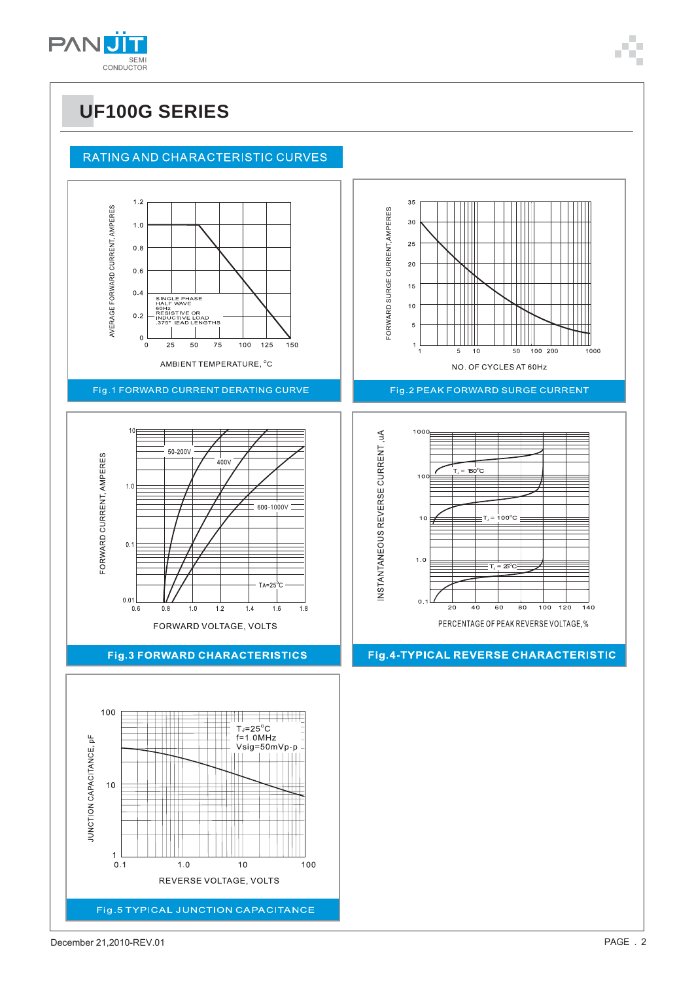

#### RATING AND CHARACTERISTIC CURVES

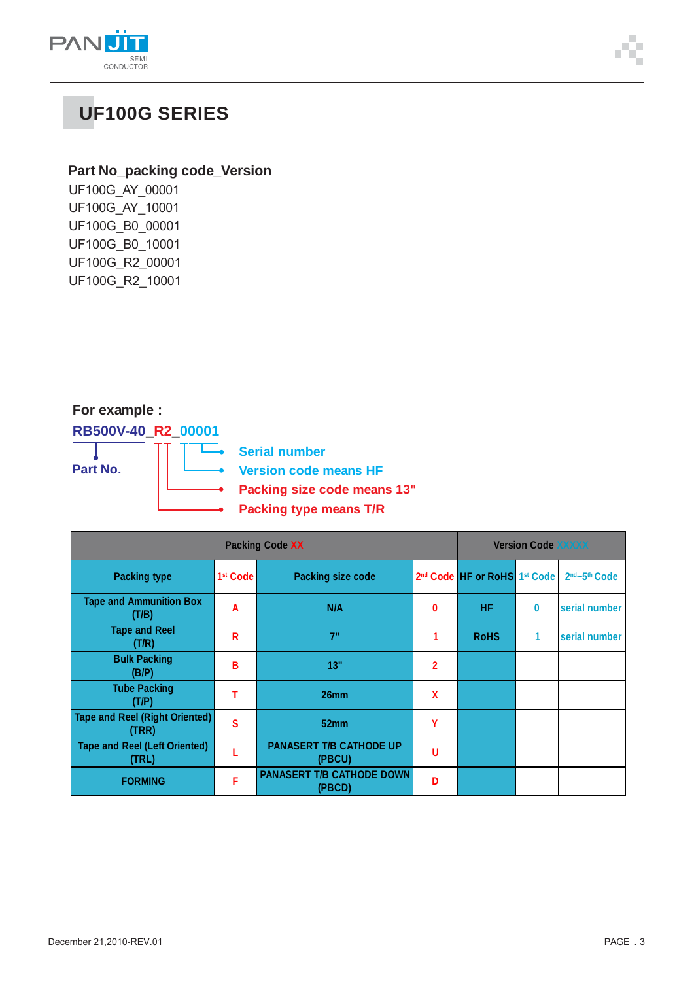

# **UF100G SERIES**

#### **Part No\_packing code\_Version**

| UF100G_AY_00001 |
|-----------------|
| UF100G_AY_10001 |
| UF100G_B0_00001 |
| UF100G B0 10001 |
| UF100G_R2_00001 |
| UF100G_R2_10001 |

### **For example :**

**RB500V-40\_R2\_00001**

**Part No.**

**Serial number**  $\overline{\phantom{a}}$ 

**Version code means HF**

- **Packing size code means 13"** ä
- **Packing type means T/R**

| <b>Packing Code XX</b>                         |                      |                                            |                | <b>Version Code XXXXX</b>                            |          |                                       |  |
|------------------------------------------------|----------------------|--------------------------------------------|----------------|------------------------------------------------------|----------|---------------------------------------|--|
| <b>Packing type</b>                            | 1 <sup>st</sup> Code | <b>Packing size code</b>                   |                | 2 <sup>nd</sup> Code HF or RoHS 1 <sup>st</sup> Code |          | 2 <sup>nd</sup> ~5 <sup>th</sup> Code |  |
| <b>Tape and Ammunition Box</b><br>(T/B)        | A                    | N/A                                        | 0              | <b>HF</b>                                            | $\bf{0}$ | serial number                         |  |
| <b>Tape and Reel</b><br>(T/R)                  | R                    | 7"                                         |                | <b>RoHS</b>                                          | 1        | serial number                         |  |
| <b>Bulk Packing</b><br>(B/P)                   | в                    | 13"                                        | $\overline{2}$ |                                                      |          |                                       |  |
| <b>Tube Packing</b><br>(T/P)                   |                      | 26mm                                       | X              |                                                      |          |                                       |  |
| <b>Tape and Reel (Right Oriented)</b><br>(TRR) | S                    | 52 <sub>mm</sub>                           | γ              |                                                      |          |                                       |  |
| <b>Tape and Reel (Left Oriented)</b><br>(TRL)  |                      | <b>PANASERT T/B CATHODE UP</b><br>(PBCU)   | U              |                                                      |          |                                       |  |
| <b>FORMING</b>                                 | F                    | <b>PANASERT T/B CATHODE DOWN</b><br>(PBCD) | n              |                                                      |          |                                       |  |